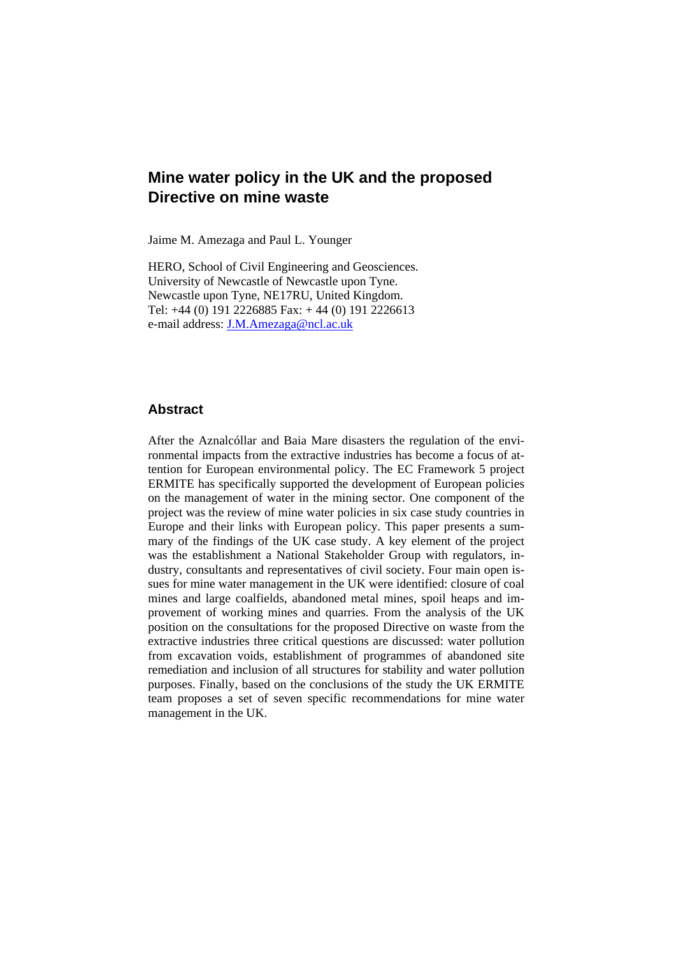# **Mine water policy in the UK and the proposed Directive on mine waste**

Jaime M. Amezaga and Paul L. Younger

HERO, School of Civil Engineering and Geosciences. University of Newcastle of Newcastle upon Tyne. Newcastle upon Tyne, NE17RU, United Kingdom. Tel: +44 (0) 191 2226885 Fax: + 44 (0) 191 2226613 e-mail address: J.M.Amezaga@ncl.ac.uk

## **Abstract**

After the Aznalcóllar and Baia Mare disasters the regulation of the environmental impacts from the extractive industries has become a focus of attention for European environmental policy. The EC Framework 5 project ERMITE has specifically supported the development of European policies on the management of water in the mining sector. One component of the project was the review of mine water policies in six case study countries in Europe and their links with European policy. This paper presents a summary of the findings of the UK case study. A key element of the project was the establishment a National Stakeholder Group with regulators, industry, consultants and representatives of civil society. Four main open issues for mine water management in the UK were identified: closure of coal mines and large coalfields, abandoned metal mines, spoil heaps and improvement of working mines and quarries. From the analysis of the UK position on the consultations for the proposed Directive on waste from the extractive industries three critical questions are discussed: water pollution from excavation voids, establishment of programmes of abandoned site remediation and inclusion of all structures for stability and water pollution purposes. Finally, based on the conclusions of the study the UK ERMITE team proposes a set of seven specific recommendations for mine water management in the UK.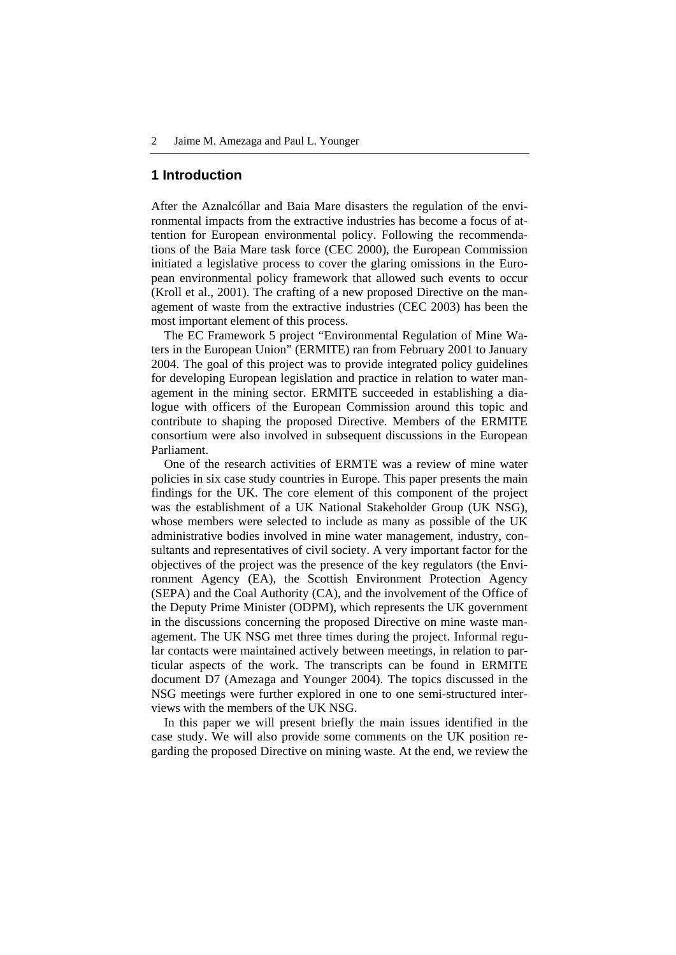### **1 Introduction**

After the Aznalcóllar and Baia Mare disasters the regulation of the environmental impacts from the extractive industries has become a focus of attention for European environmental policy. Following the recommendations of the Baia Mare task force (CEC 2000), the European Commission initiated a legislative process to cover the glaring omissions in the European environmental policy framework that allowed such events to occur (Kroll et al., 2001). The crafting of a new proposed Directive on the management of waste from the extractive industries (CEC 2003) has been the most important element of this process.

The EC Framework 5 project "Environmental Regulation of Mine Waters in the European Union" (ERMITE) ran from February 2001 to January 2004. The goal of this project was to provide integrated policy guidelines for developing European legislation and practice in relation to water management in the mining sector. ERMITE succeeded in establishing a dialogue with officers of the European Commission around this topic and contribute to shaping the proposed Directive. Members of the ERMITE consortium were also involved in subsequent discussions in the European Parliament.

One of the research activities of ERMTE was a review of mine water policies in six case study countries in Europe. This paper presents the main findings for the UK. The core element of this component of the project was the establishment of a UK National Stakeholder Group (UK NSG), whose members were selected to include as many as possible of the UK administrative bodies involved in mine water management, industry, consultants and representatives of civil society. A very important factor for the objectives of the project was the presence of the key regulators (the Environment Agency (EA), the Scottish Environment Protection Agency (SEPA) and the Coal Authority (CA), and the involvement of the Office of the Deputy Prime Minister (ODPM), which represents the UK government in the discussions concerning the proposed Directive on mine waste management. The UK NSG met three times during the project. Informal regular contacts were maintained actively between meetings, in relation to particular aspects of the work. The transcripts can be found in ERMITE document D7 (Amezaga and Younger 2004). The topics discussed in the NSG meetings were further explored in one to one semi-structured interviews with the members of the UK NSG.

In this paper we will present briefly the main issues identified in the case study. We will also provide some comments on the UK position regarding the proposed Directive on mining waste. At the end, we review the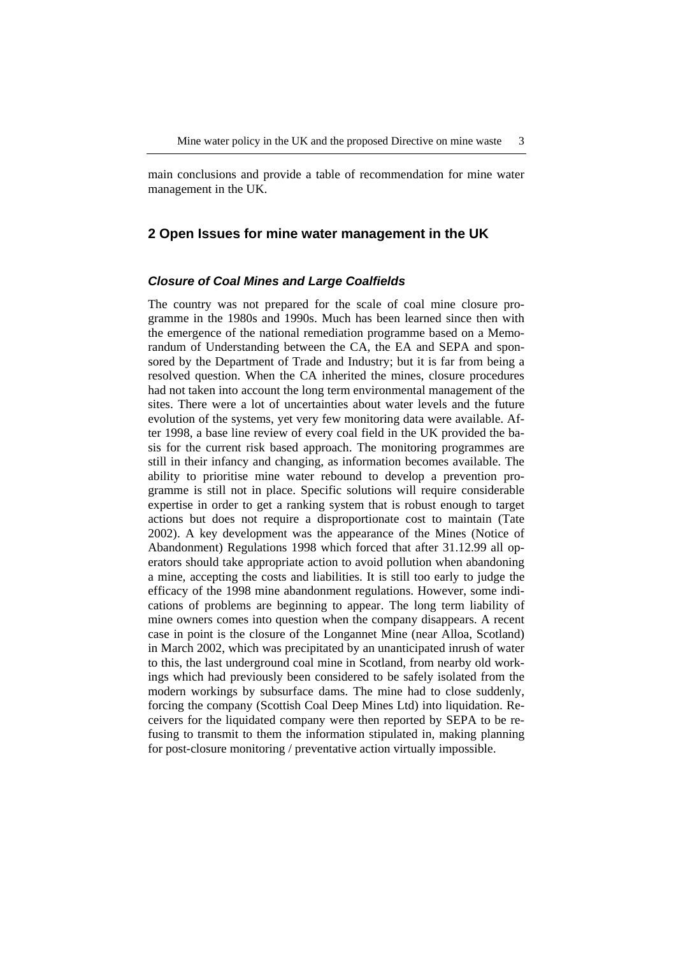main conclusions and provide a table of recommendation for mine water management in the UK.

## **2 Open Issues for mine water management in the UK**

#### *Closure of Coal Mines and Large Coalfields*

The country was not prepared for the scale of coal mine closure programme in the 1980s and 1990s. Much has been learned since then with the emergence of the national remediation programme based on a Memorandum of Understanding between the CA, the EA and SEPA and sponsored by the Department of Trade and Industry; but it is far from being a resolved question. When the CA inherited the mines, closure procedures had not taken into account the long term environmental management of the sites. There were a lot of uncertainties about water levels and the future evolution of the systems, yet very few monitoring data were available. After 1998, a base line review of every coal field in the UK provided the basis for the current risk based approach. The monitoring programmes are still in their infancy and changing, as information becomes available. The ability to prioritise mine water rebound to develop a prevention programme is still not in place. Specific solutions will require considerable expertise in order to get a ranking system that is robust enough to target actions but does not require a disproportionate cost to maintain (Tate 2002). A key development was the appearance of the Mines (Notice of Abandonment) Regulations 1998 which forced that after 31.12.99 all operators should take appropriate action to avoid pollution when abandoning a mine, accepting the costs and liabilities. It is still too early to judge the efficacy of the 1998 mine abandonment regulations. However, some indications of problems are beginning to appear. The long term liability of mine owners comes into question when the company disappears. A recent case in point is the closure of the Longannet Mine (near Alloa, Scotland) in March 2002, which was precipitated by an unanticipated inrush of water to this, the last underground coal mine in Scotland, from nearby old workings which had previously been considered to be safely isolated from the modern workings by subsurface dams. The mine had to close suddenly, forcing the company (Scottish Coal Deep Mines Ltd) into liquidation. Receivers for the liquidated company were then reported by SEPA to be refusing to transmit to them the information stipulated in, making planning for post-closure monitoring / preventative action virtually impossible.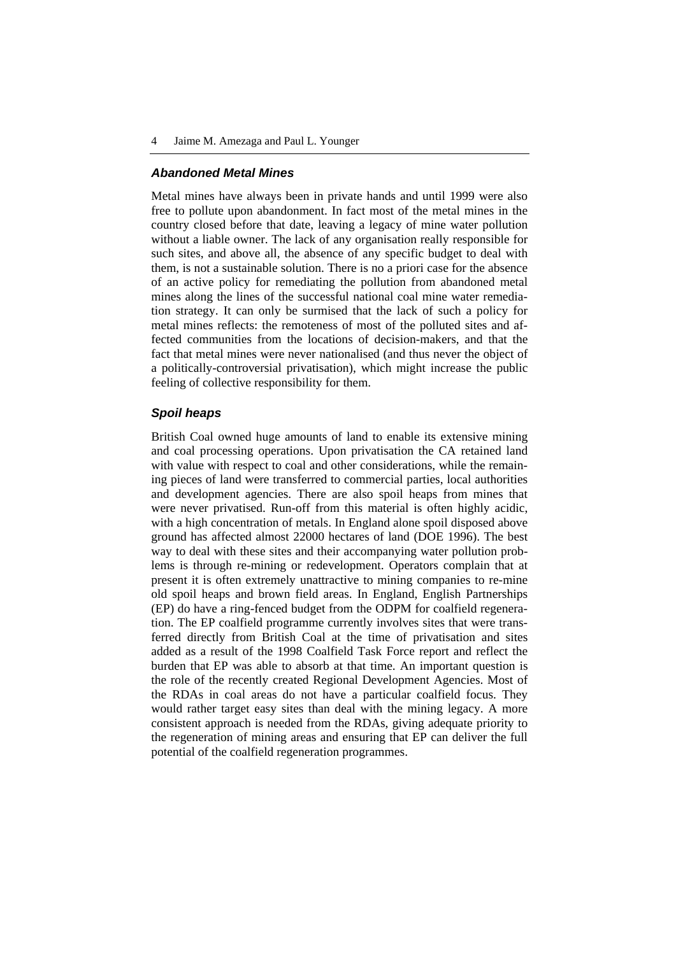#### *Abandoned Metal Mines*

Metal mines have always been in private hands and until 1999 were also free to pollute upon abandonment. In fact most of the metal mines in the country closed before that date, leaving a legacy of mine water pollution without a liable owner. The lack of any organisation really responsible for such sites, and above all, the absence of any specific budget to deal with them, is not a sustainable solution. There is no a priori case for the absence of an active policy for remediating the pollution from abandoned metal mines along the lines of the successful national coal mine water remediation strategy. It can only be surmised that the lack of such a policy for metal mines reflects: the remoteness of most of the polluted sites and affected communities from the locations of decision-makers, and that the fact that metal mines were never nationalised (and thus never the object of a politically-controversial privatisation), which might increase the public feeling of collective responsibility for them.

#### *Spoil heaps*

British Coal owned huge amounts of land to enable its extensive mining and coal processing operations. Upon privatisation the CA retained land with value with respect to coal and other considerations, while the remaining pieces of land were transferred to commercial parties, local authorities and development agencies. There are also spoil heaps from mines that were never privatised. Run-off from this material is often highly acidic, with a high concentration of metals. In England alone spoil disposed above ground has affected almost 22000 hectares of land (DOE 1996). The best way to deal with these sites and their accompanying water pollution problems is through re-mining or redevelopment. Operators complain that at present it is often extremely unattractive to mining companies to re-mine old spoil heaps and brown field areas. In England, English Partnerships (EP) do have a ring-fenced budget from the ODPM for coalfield regeneration. The EP coalfield programme currently involves sites that were transferred directly from British Coal at the time of privatisation and sites added as a result of the 1998 Coalfield Task Force report and reflect the burden that EP was able to absorb at that time. An important question is the role of the recently created Regional Development Agencies. Most of the RDAs in coal areas do not have a particular coalfield focus. They would rather target easy sites than deal with the mining legacy. A more consistent approach is needed from the RDAs, giving adequate priority to the regeneration of mining areas and ensuring that EP can deliver the full potential of the coalfield regeneration programmes.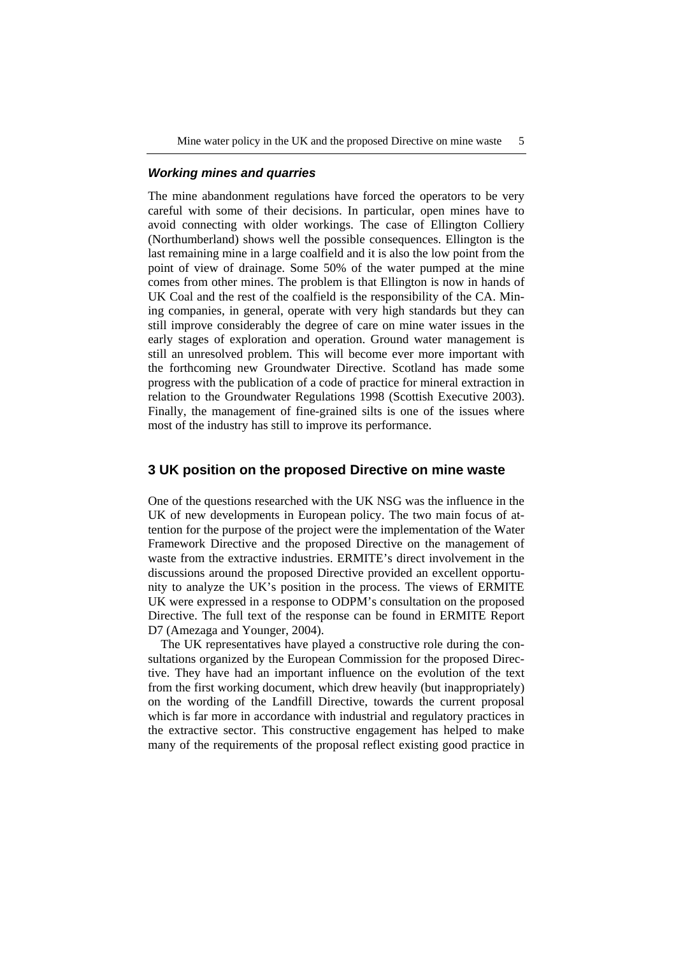### *Working mines and quarries*

The mine abandonment regulations have forced the operators to be very careful with some of their decisions. In particular, open mines have to avoid connecting with older workings. The case of Ellington Colliery (Northumberland) shows well the possible consequences. Ellington is the last remaining mine in a large coalfield and it is also the low point from the point of view of drainage. Some 50% of the water pumped at the mine comes from other mines. The problem is that Ellington is now in hands of UK Coal and the rest of the coalfield is the responsibility of the CA. Mining companies, in general, operate with very high standards but they can still improve considerably the degree of care on mine water issues in the early stages of exploration and operation. Ground water management is still an unresolved problem. This will become ever more important with the forthcoming new Groundwater Directive. Scotland has made some progress with the publication of a code of practice for mineral extraction in relation to the Groundwater Regulations 1998 (Scottish Executive 2003). Finally, the management of fine-grained silts is one of the issues where most of the industry has still to improve its performance.

# **3 UK position on the proposed Directive on mine waste**

One of the questions researched with the UK NSG was the influence in the UK of new developments in European policy. The two main focus of attention for the purpose of the project were the implementation of the Water Framework Directive and the proposed Directive on the management of waste from the extractive industries. ERMITE's direct involvement in the discussions around the proposed Directive provided an excellent opportunity to analyze the UK's position in the process. The views of ERMITE UK were expressed in a response to ODPM's consultation on the proposed Directive. The full text of the response can be found in ERMITE Report D7 (Amezaga and Younger, 2004).

The UK representatives have played a constructive role during the consultations organized by the European Commission for the proposed Directive. They have had an important influence on the evolution of the text from the first working document, which drew heavily (but inappropriately) on the wording of the Landfill Directive, towards the current proposal which is far more in accordance with industrial and regulatory practices in the extractive sector. This constructive engagement has helped to make many of the requirements of the proposal reflect existing good practice in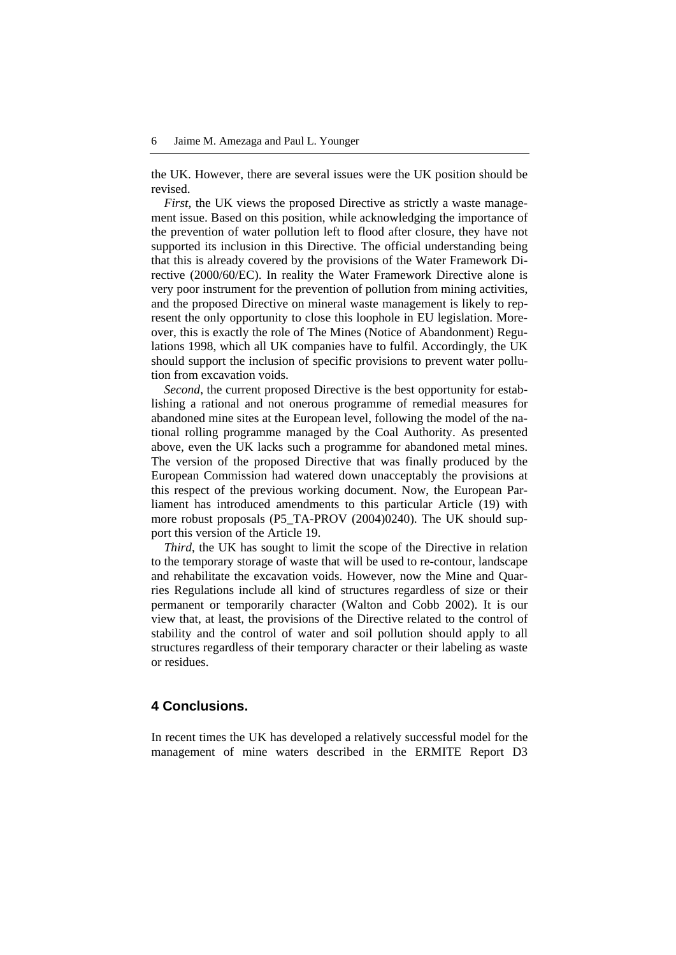the UK. However, there are several issues were the UK position should be revised.

*First*, the UK views the proposed Directive as strictly a waste management issue. Based on this position, while acknowledging the importance of the prevention of water pollution left to flood after closure, they have not supported its inclusion in this Directive. The official understanding being that this is already covered by the provisions of the Water Framework Directive (2000/60/EC). In reality the Water Framework Directive alone is very poor instrument for the prevention of pollution from mining activities, and the proposed Directive on mineral waste management is likely to represent the only opportunity to close this loophole in EU legislation. Moreover, this is exactly the role of The Mines (Notice of Abandonment) Regulations 1998, which all UK companies have to fulfil. Accordingly, the UK should support the inclusion of specific provisions to prevent water pollution from excavation voids.

*Second*, the current proposed Directive is the best opportunity for establishing a rational and not onerous programme of remedial measures for abandoned mine sites at the European level, following the model of the national rolling programme managed by the Coal Authority. As presented above, even the UK lacks such a programme for abandoned metal mines. The version of the proposed Directive that was finally produced by the European Commission had watered down unacceptably the provisions at this respect of the previous working document. Now, the European Parliament has introduced amendments to this particular Article (19) with more robust proposals (P5\_TA-PROV (2004)0240). The UK should support this version of the Article 19.

*Third*, the UK has sought to limit the scope of the Directive in relation to the temporary storage of waste that will be used to re-contour, landscape and rehabilitate the excavation voids. However, now the Mine and Quarries Regulations include all kind of structures regardless of size or their permanent or temporarily character (Walton and Cobb 2002). It is our view that, at least, the provisions of the Directive related to the control of stability and the control of water and soil pollution should apply to all structures regardless of their temporary character or their labeling as waste or residues.

# **4 Conclusions.**

In recent times the UK has developed a relatively successful model for the management of mine waters described in the ERMITE Report D3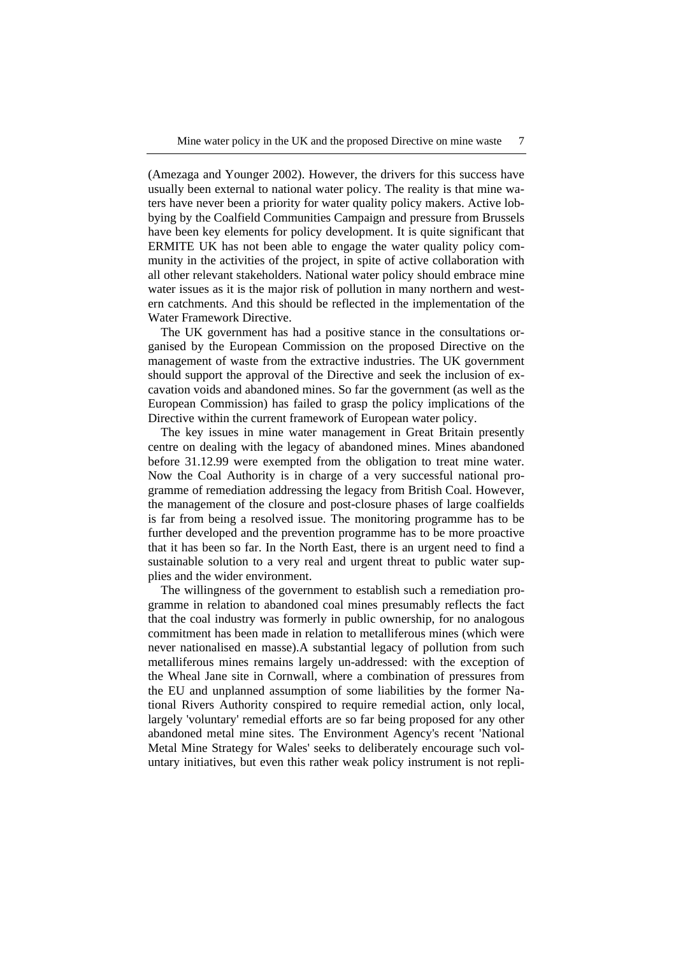(Amezaga and Younger 2002). However, the drivers for this success have usually been external to national water policy. The reality is that mine waters have never been a priority for water quality policy makers. Active lobbying by the Coalfield Communities Campaign and pressure from Brussels have been key elements for policy development. It is quite significant that ERMITE UK has not been able to engage the water quality policy community in the activities of the project, in spite of active collaboration with all other relevant stakeholders. National water policy should embrace mine water issues as it is the major risk of pollution in many northern and western catchments. And this should be reflected in the implementation of the Water Framework Directive.

The UK government has had a positive stance in the consultations organised by the European Commission on the proposed Directive on the management of waste from the extractive industries. The UK government should support the approval of the Directive and seek the inclusion of excavation voids and abandoned mines. So far the government (as well as the European Commission) has failed to grasp the policy implications of the Directive within the current framework of European water policy.

The key issues in mine water management in Great Britain presently centre on dealing with the legacy of abandoned mines. Mines abandoned before 31.12.99 were exempted from the obligation to treat mine water. Now the Coal Authority is in charge of a very successful national programme of remediation addressing the legacy from British Coal. However, the management of the closure and post-closure phases of large coalfields is far from being a resolved issue. The monitoring programme has to be further developed and the prevention programme has to be more proactive that it has been so far. In the North East, there is an urgent need to find a sustainable solution to a very real and urgent threat to public water supplies and the wider environment.

The willingness of the government to establish such a remediation programme in relation to abandoned coal mines presumably reflects the fact that the coal industry was formerly in public ownership, for no analogous commitment has been made in relation to metalliferous mines (which were never nationalised en masse).A substantial legacy of pollution from such metalliferous mines remains largely un-addressed: with the exception of the Wheal Jane site in Cornwall, where a combination of pressures from the EU and unplanned assumption of some liabilities by the former National Rivers Authority conspired to require remedial action, only local, largely 'voluntary' remedial efforts are so far being proposed for any other abandoned metal mine sites. The Environment Agency's recent 'National Metal Mine Strategy for Wales' seeks to deliberately encourage such voluntary initiatives, but even this rather weak policy instrument is not repli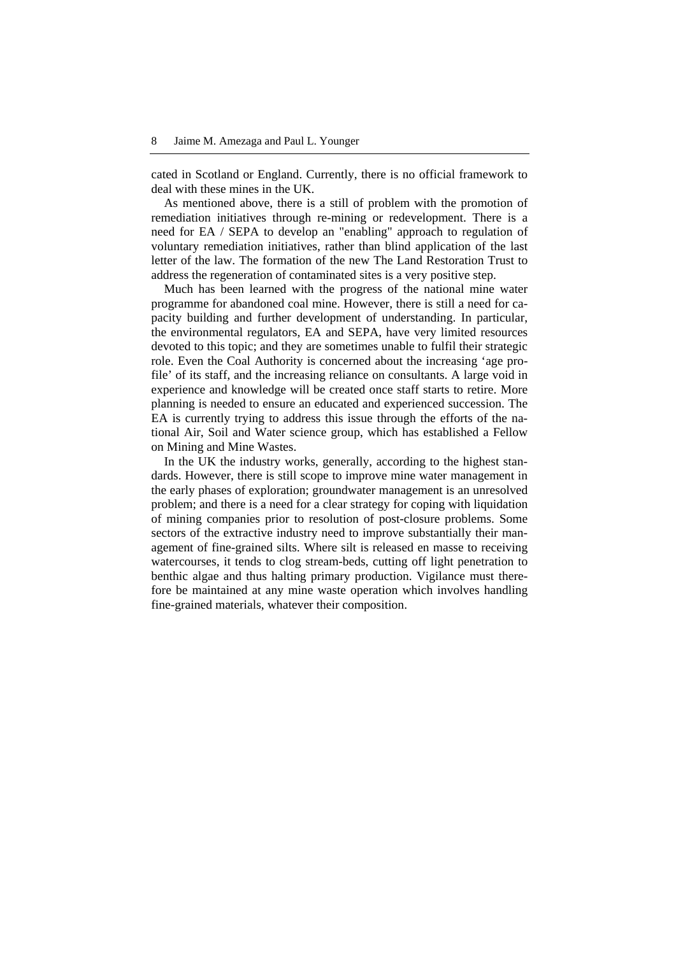cated in Scotland or England. Currently, there is no official framework to deal with these mines in the UK.

As mentioned above, there is a still of problem with the promotion of remediation initiatives through re-mining or redevelopment. There is a need for EA / SEPA to develop an "enabling" approach to regulation of voluntary remediation initiatives, rather than blind application of the last letter of the law. The formation of the new The Land Restoration Trust to address the regeneration of contaminated sites is a very positive step.

Much has been learned with the progress of the national mine water programme for abandoned coal mine. However, there is still a need for capacity building and further development of understanding. In particular, the environmental regulators, EA and SEPA, have very limited resources devoted to this topic; and they are sometimes unable to fulfil their strategic role. Even the Coal Authority is concerned about the increasing 'age profile' of its staff, and the increasing reliance on consultants. A large void in experience and knowledge will be created once staff starts to retire. More planning is needed to ensure an educated and experienced succession. The EA is currently trying to address this issue through the efforts of the national Air, Soil and Water science group, which has established a Fellow on Mining and Mine Wastes.

In the UK the industry works, generally, according to the highest standards. However, there is still scope to improve mine water management in the early phases of exploration; groundwater management is an unresolved problem; and there is a need for a clear strategy for coping with liquidation of mining companies prior to resolution of post-closure problems. Some sectors of the extractive industry need to improve substantially their management of fine-grained silts. Where silt is released en masse to receiving watercourses, it tends to clog stream-beds, cutting off light penetration to benthic algae and thus halting primary production. Vigilance must therefore be maintained at any mine waste operation which involves handling fine-grained materials, whatever their composition.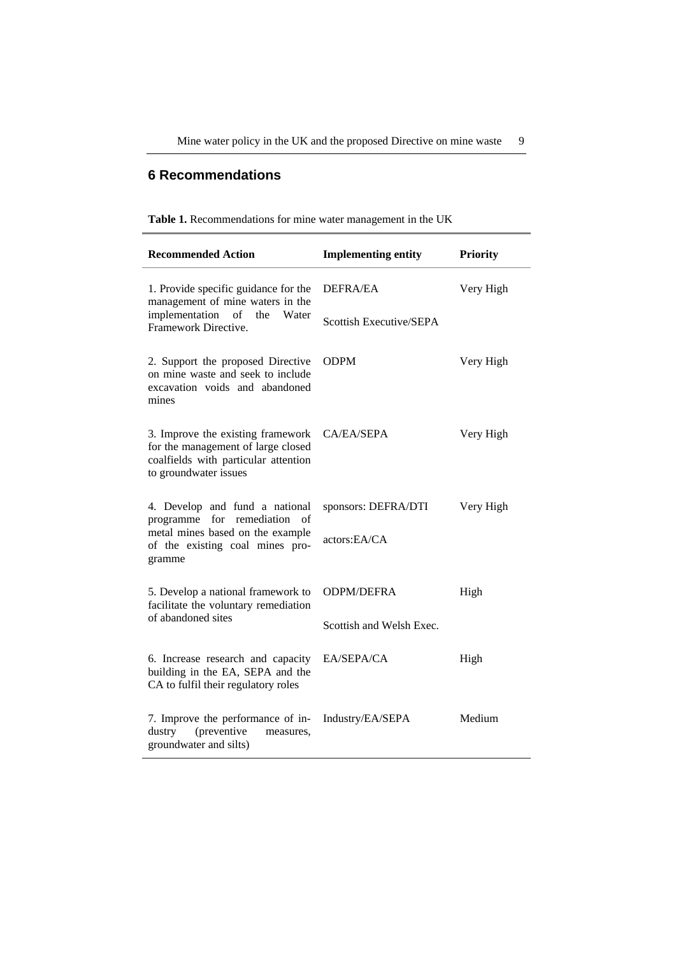# **6 Recommendations**

|  |  |  | Table 1. Recommendations for mine water management in the UK |  |  |
|--|--|--|--------------------------------------------------------------|--|--|
|  |  |  |                                                              |  |  |

| <b>Recommended Action</b>                                                                                                                | <b>Implementing entity</b> | <b>Priority</b> |  |  |
|------------------------------------------------------------------------------------------------------------------------------------------|----------------------------|-----------------|--|--|
| 1. Provide specific guidance for the<br>management of mine waters in the                                                                 | <b>DEFRA/EA</b>            | Very High       |  |  |
| implementation<br>Water<br>of<br>the<br>Framework Directive.                                                                             | Scottish Executive/SEPA    |                 |  |  |
| 2. Support the proposed Directive<br>on mine waste and seek to include<br>excavation voids and abandoned<br>mines                        | ODPM                       | Very High       |  |  |
| 3. Improve the existing framework<br>for the management of large closed<br>coalfields with particular attention<br>to groundwater issues | CA/EA/SEPA                 | Very High       |  |  |
| 4. Develop and fund a national<br>programme<br>for remediation<br>of                                                                     | sponsors: DEFRA/DTI        | Very High       |  |  |
| metal mines based on the example<br>of the existing coal mines pro-<br>gramme                                                            | actors:EA/CA               |                 |  |  |
| 5. Develop a national framework to<br>facilitate the voluntary remediation                                                               | <b>ODPM/DEFRA</b>          | High            |  |  |
| of abandoned sites                                                                                                                       | Scottish and Welsh Exec.   |                 |  |  |
| 6. Increase research and capacity<br>building in the EA, SEPA and the<br>CA to fulfil their regulatory roles                             | EA/SEPA/CA                 | High            |  |  |
| 7. Improve the performance of in-<br>(preventive<br>dustry<br>measures,<br>groundwater and silts)                                        | Industry/EA/SEPA           | Medium          |  |  |